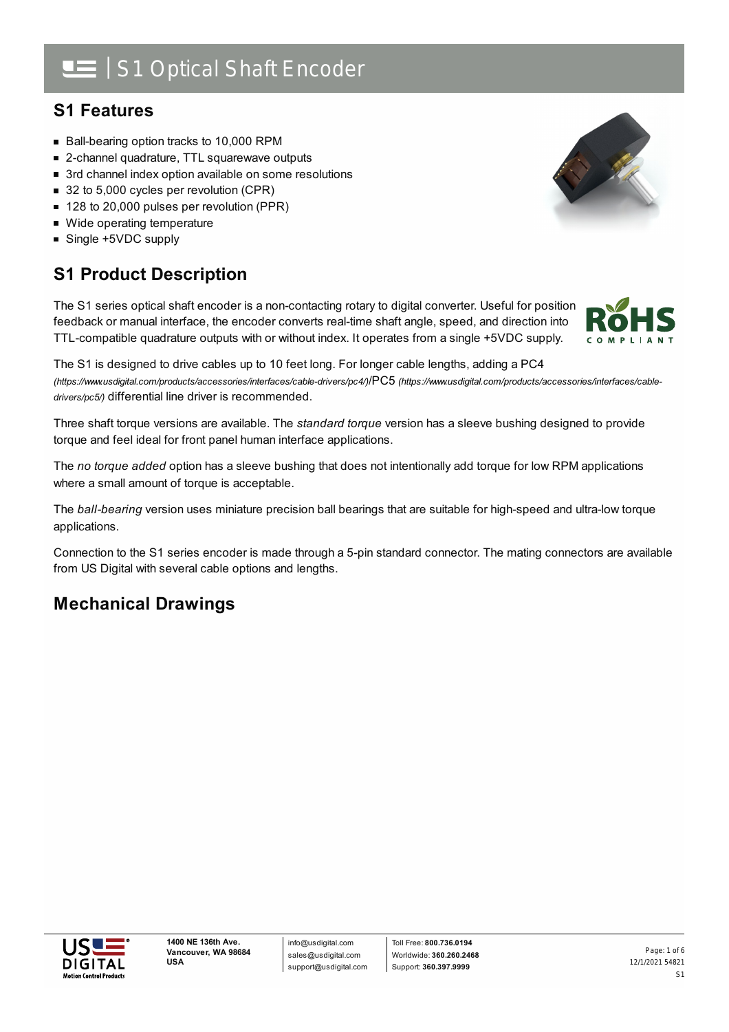## : S1 Optical Shaft Encoder

### **S1 Features**

- Ball-bearing option tracks to 10,000 RPM
- 2-channel quadrature, TTL squarewave outputs
- 3rd channel index option available on some resolutions
- 32 to 5,000 cycles per revolution (CPR)
- 128 to 20,000 pulses per revolution (PPR)
- Wide operating temperature
- Single +5VDC supply

## **S1 Product Description**

The S1 series optical shaft encoder is a non-contacting rotary to digital converter. Useful for position feedback or manual interface, the encoder converts real-time shaft angle, speed, and direction into TTL-compatible quadrature outputs with or without index. It operates from a single +5VDC supply.

The S1 is designed to drive cables up to 10 feet long. For longer cable lengths, adding a PC4 *(https://www.usdigital.com/products/accessories/interfaces/cable-drivers/pc4/)*/PC5 *[\(https://www.usdigital.com/products/accessories/interfaces/cable](https://www.usdigital.com/products/accessories/interfaces/cable-drivers/pc5/)drivers/pc5/)* differential line driver is recommended.

Three shaft torque versions are available. The *standard torque* version has a sleeve bushing designed to provide torque and feel ideal for front panel human interface applications.

The *no torque added* option has a sleeve bushing that does not intentionally add torque for low RPM applications where a small amount of torque is acceptable.

The *ball-bearing* version uses miniature precision ball bearings that are suitable for high-speed and ultra-low torque applications.

Connection to the S1 series encoder is made through a 5-pin standard connector. The mating connectors are available from US Digital with several cable options and lengths.

## **Mechanical Drawings**





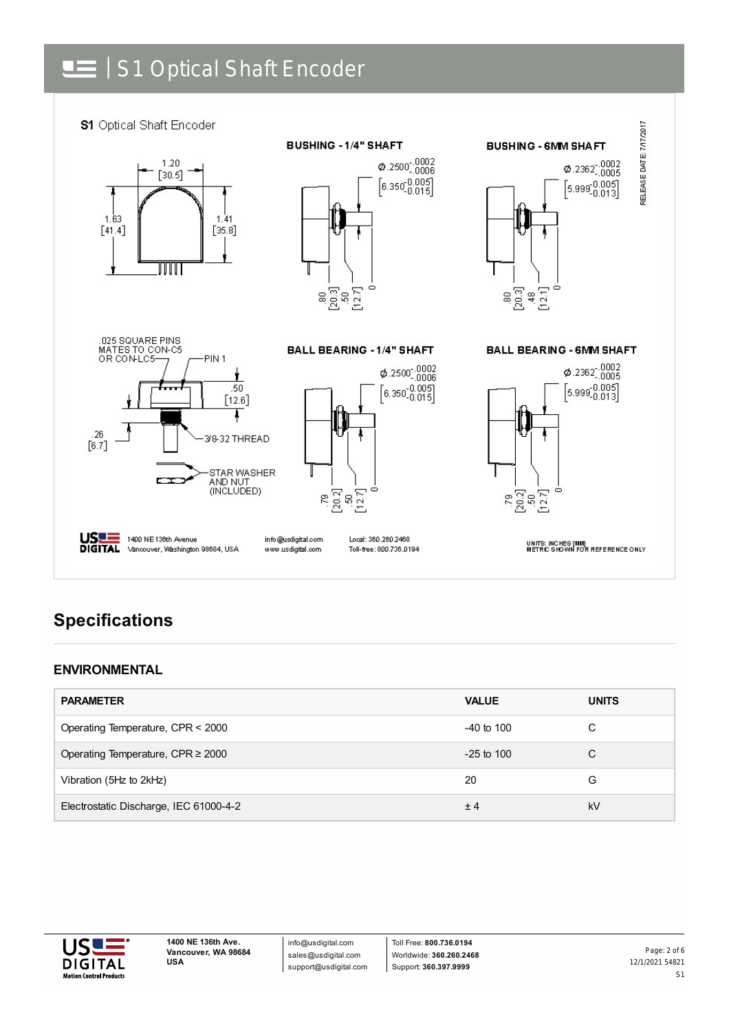# | S1 Optical Shaft Encoder



## **Specifications**

#### **ENVIRONMENTAL**

| <b>PARAMETER</b>                       | <b>VALUE</b>   | <b>UNITS</b> |
|----------------------------------------|----------------|--------------|
| Operating Temperature, CPR < 2000      | $-40$ to $100$ | С            |
| Operating Temperature, CPR $\geq$ 2000 | $-25$ to 100   | С            |
| Vibration (5Hz to 2kHz)                | 20             | G            |
| Electrostatic Discharge, IEC 61000-4-2 | ±4             | kV           |



info@usdigital.com sales@usdigital.com support@usdigital.com

Toll Free: **800.736.0194** Worldwide: **360.260.2468** Support: **360.397.9999**

12/1/2021 54821 S1 Page: 2 of 6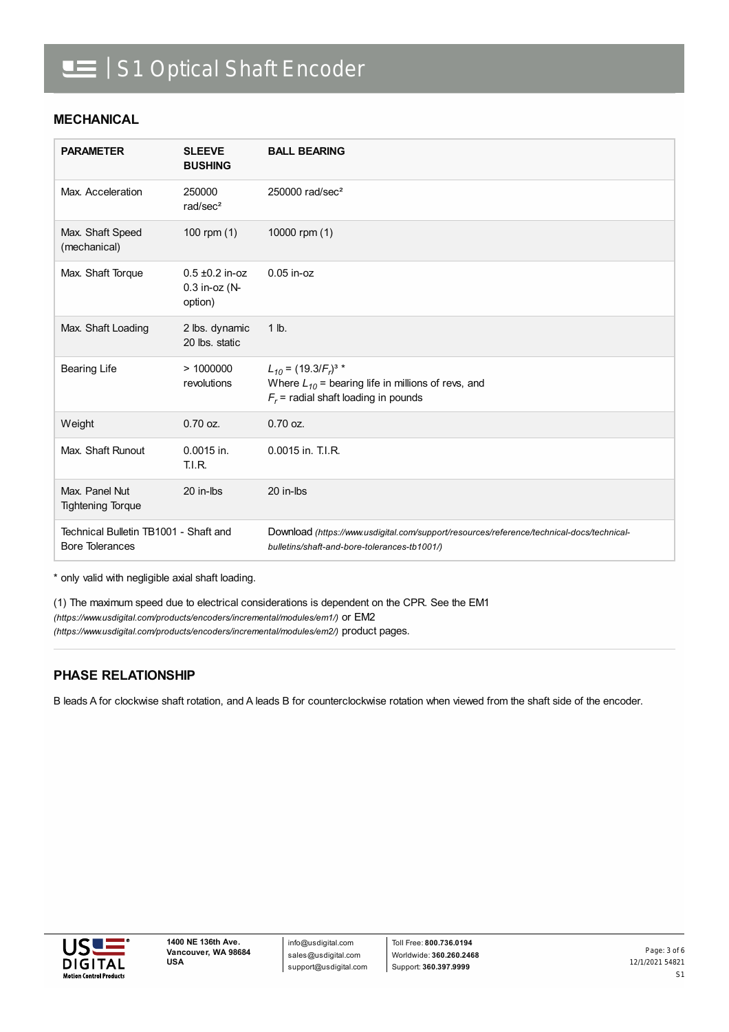# **IE** | S1 Optical Shaft Encoder

#### **MECHANICAL**

| <b>PARAMETER</b>                                                | <b>SLEEVE</b><br><b>BUSHING</b>                   | <b>BALL BEARING</b>                                                                                                                       |
|-----------------------------------------------------------------|---------------------------------------------------|-------------------------------------------------------------------------------------------------------------------------------------------|
| Max. Acceleration                                               | 250000<br>rad/sec <sup>2</sup>                    | 250000 rad/sec <sup>2</sup>                                                                                                               |
| Max. Shaft Speed<br>(mechanical)                                | 100 rpm $(1)$                                     | 10000 rpm (1)                                                                                                                             |
| Max. Shaft Torque                                               | $0.5 \pm 0.2$ in-oz<br>$0.3$ in-oz (N-<br>option) | $0.05$ in-oz                                                                                                                              |
| Max. Shaft Loading                                              | 2 lbs. dynamic<br>20 lbs. static                  | $1$ lb.                                                                                                                                   |
| <b>Bearing Life</b>                                             | >1000000<br>revolutions                           | $L_{10} = (19.3/F_r)^{3}$ *<br>Where $L_{10}$ = bearing life in millions of revs, and<br>$F_r$ = radial shaft loading in pounds           |
| Weight                                                          | $0.70$ oz.                                        | $0.70$ oz.                                                                                                                                |
| Max. Shaft Runout                                               | 0.0015 in.<br><b>T.I.R.</b>                       | 0.0015 in. T.I.R.                                                                                                                         |
| Max. Panel Nut<br><b>Tightening Torque</b>                      | 20 in-lbs                                         | 20 in-lbs                                                                                                                                 |
| Technical Bulletin TB1001 - Shaft and<br><b>Bore Tolerances</b> |                                                   | Download (https://www.usdigital.com/support/resources/reference/technical-docs/technical-<br>bulletins/shaft-and-bore-tolerances-tb1001/) |

\* only valid with negligible axial shaft loading.

(1) The maximum speed due to electrical considerations is dependent on the CPR. See the EM1 *(https://www.usdigital.com/products/encoders/incremental/modules/em1/)* or EM2 *(https://www.usdigital.com/products/encoders/incremental/modules/em2/)* product pages.

### **PHASE RELATIONSHIP**

B leads A for clockwise shaft rotation, and A leads B for counterclockwise rotation when viewed from the shaft side of the encoder.



info@usdigital.com sales@usdigital.com support@usdigital.com

Toll Free: **800.736.0194** Worldwide: **360.260.2468** Support: **360.397.9999**

12/1/2021 54821 S1 Page: 3 of 6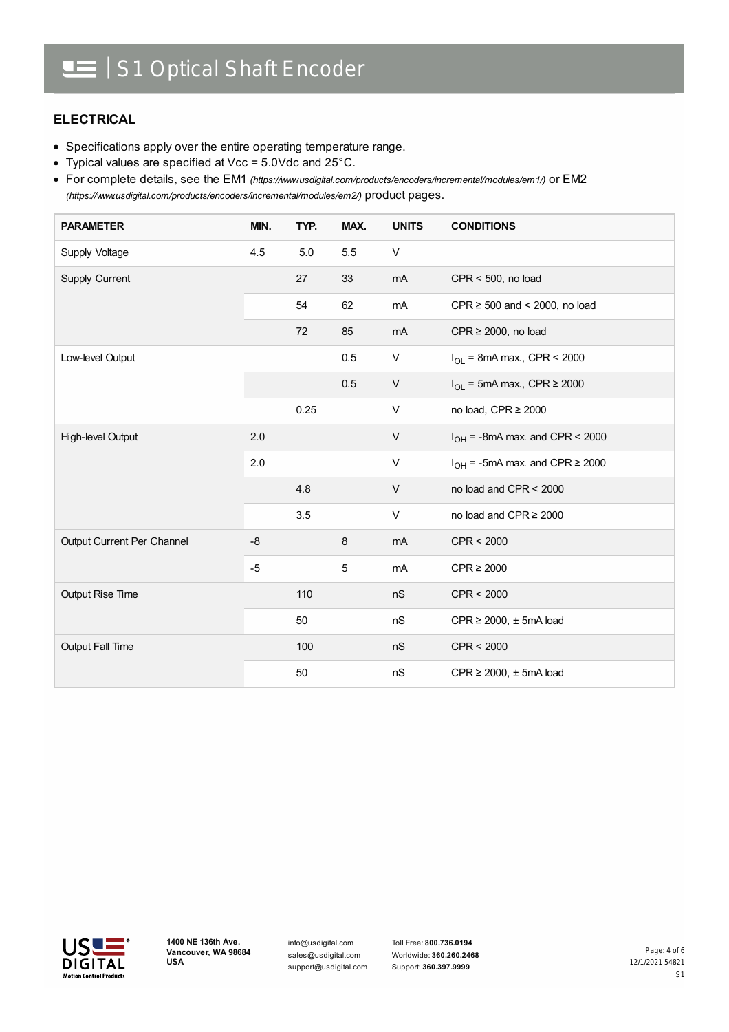### **ELECTRICAL**

- Specifications apply over the entire operating temperature range.
- Typical values are specified at Vcc = 5.0Vdc and 25°C.

For complete details, see the EM1 *[\(https://www.usdigital.com/products/encoders/incremental/modules/em1/\)](https://www.usdigital.com/products/encoders/incremental/modules/em1/)* or EM2 *(https://www.usdigital.com/products/encoders/incremental/modules/em2/)* product pages.

| <b>PARAMETER</b>           | MIN. | TYP. | MAX. | <b>UNITS</b> | <b>CONDITIONS</b>                        |
|----------------------------|------|------|------|--------------|------------------------------------------|
| Supply Voltage             | 4.5  | 5.0  | 5.5  | V            |                                          |
| Supply Current             |      | 27   | 33   | mA           | $CPR < 500$ , no load                    |
|                            |      | 54   | 62   | mA           | CPR $\geq$ 500 and < 2000, no load       |
|                            |      | 72   | 85   | mA           | $CPR \ge 2000$ , no load                 |
| Low-level Output           |      |      | 0.5  | V            | $I_{OL}$ = 8mA max., CPR < 2000          |
|                            |      |      | 0.5  | V            | $I_{OL}$ = 5mA max., CPR $\geq$ 2000     |
|                            |      | 0.25 |      | V            | no load, CPR ≥ 2000                      |
| High-level Output          | 2.0  |      |      | V            | $I_{OH}$ = -8mA max. and CPR < 2000      |
|                            | 2.0  |      |      | V            | $I_{OH}$ = -5mA max. and CPR $\geq$ 2000 |
|                            |      | 4.8  |      | $\vee$       | no load and CPR < 2000                   |
|                            |      | 3.5  |      | V            | no load and CPR $\geq$ 2000              |
| Output Current Per Channel | $-8$ |      | 8    | mA           | CPR < 2000                               |
|                            | $-5$ |      | 5    | mA           | $CPR \geq 2000$                          |
| <b>Output Rise Time</b>    |      | 110  |      | nS           | CPR < 2000                               |
|                            |      | 50   |      | nS           | $CPR \ge 2000$ , $\pm$ 5mA load          |
| Output Fall Time           |      | 100  |      | nS           | CPR < 2000                               |
|                            |      | 50   |      | nS           | $CPR \ge 2000$ , $\pm$ 5mA load          |

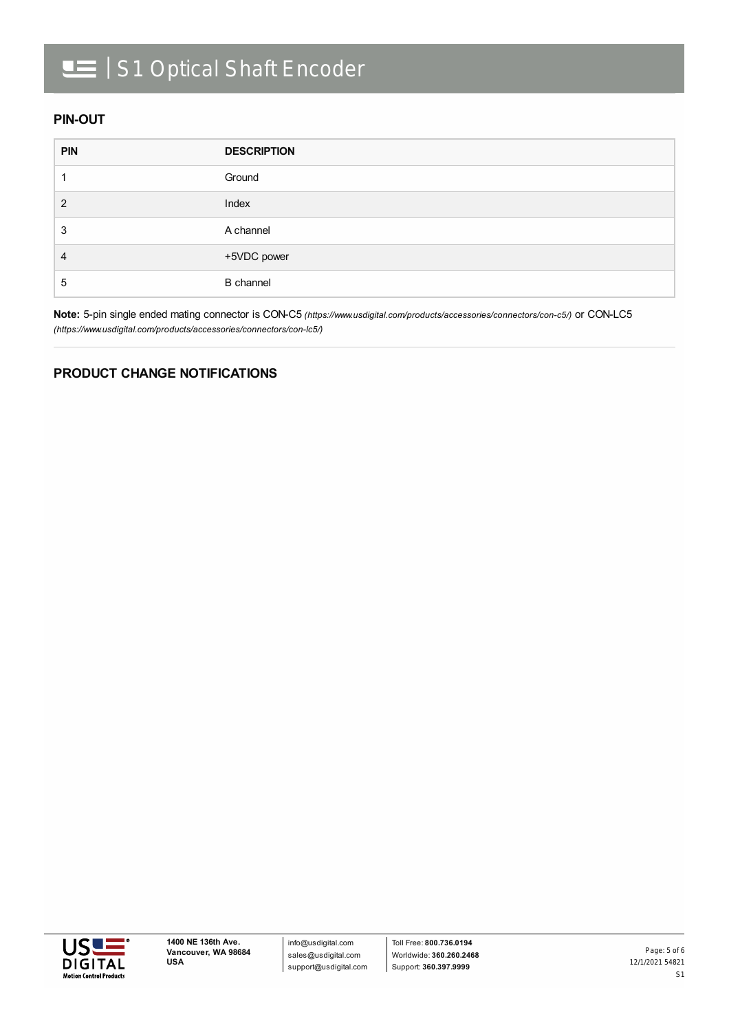# **IE** | S1 Optical Shaft Encoder

### **PIN-OUT**

| <b>PIN</b> | <b>DESCRIPTION</b> |
|------------|--------------------|
|            | Ground             |
| 2          | Index              |
| 3          | A channel          |
| 4          | +5VDC power        |
| 5          | <b>B</b> channel   |

**Note:** 5-pin single ended mating connector is CON-C5 *[\(https://www.usdigital.com/products/accessories/connectors/con-c5/\)](https://www.usdigital.com/products/accessories/connectors/con-c5/)* or CON-LC5 *(https://www.usdigital.com/products/accessories/connectors/con-lc5/)*

### **PRODUCT CHANGE NOTIFICATIONS**